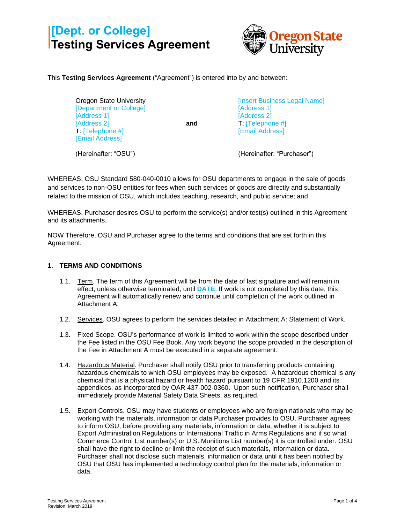# **[Dept. or College] Testing Services Agreement**



This **Testing Services Agreement** ("Agreement") is entered into by and between:

| Oregon State University |     |
|-------------------------|-----|
| [Department or College] |     |
| [Address 1]             |     |
| [Address 2]             | and |
| T: [Telephone #]        |     |
| [Email Address]         |     |
|                         |     |

[Insert Business Legal Name] [Address 1] [Address 2] T: [Telephone #] [Email Address]

(Hereinafter: "OSU")

(Hereinafter: "Purchaser")

WHEREAS, OSU Standard 580-040-0010 allows for OSU departments to engage in the sale of goods and services to non-OSU entities for fees when such services or goods are directly and substantially related to the mission of OSU, which includes teaching, research, and public service; and

WHEREAS, Purchaser desires OSU to perform the service(s) and/or test(s) outlined in this Agreement and its attachments.

NOW Therefore, OSU and Purchaser agree to the terms and conditions that are set forth in this Agreement.

### **1. TERMS AND CONDITIONS**

- 1.1. Term. The term of this Agreement will be from the date of last signature and will remain in effect, unless otherwise terminated, until **DATE**. If work is not completed by this date, this Agreement will automatically renew and continue until completion of the work outlined in Attachment A.
- 1.2. Services. OSU agrees to perform the services detailed in Attachment A: Statement of Work.
- 1.3. Fixed Scope. OSU's performance of work is limited to work within the scope described under the Fee listed in the OSU Fee Book. Any work beyond the scope provided in the description of the Fee in Attachment A must be executed in a separate agreement.
- 1.4. Hazardous Material. Purchaser shall notify OSU prior to transferring products containing hazardous chemicals to which OSU employees may be exposed. A hazardous chemical is any chemical that is a physical hazard or health hazard pursuant to 19 CFR 1910.1200 and its appendices, as incorporated by OAR 437-002-0360. Upon such notification, Purchaser shall immediately provide Material Safety Data Sheets, as required.
- 1.5. Export Controls. OSU may have students or employees who are foreign nationals who may be working with the materials, information or data Purchaser provides to OSU. Purchaser agrees to inform OSU, before providing any materials, information or data, whether it is subject to Export Administration Regulations or International Traffic in Arms Regulations and if so what Commerce Control List number(s) or U.S. Munitions List number(s) it is controlled under. OSU shall have the right to decline or limit the receipt of such materials, information or data. Purchaser shall not disclose such materials, information or data until it has been notified by OSU that OSU has implemented a technology control plan for the materials, information or data.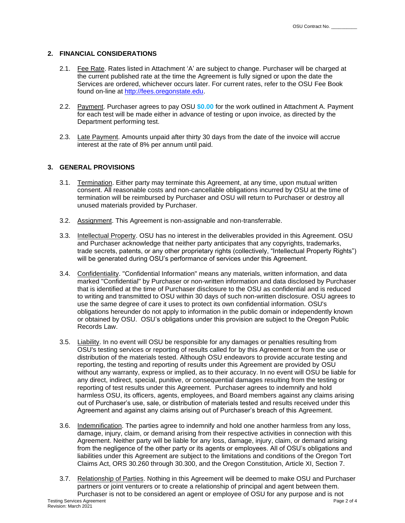#### **2. FINANCIAL CONSIDERATIONS**

- 2.1. Fee Rate. Rates listed in Attachment 'A' are subject to change. Purchaser will be charged at the current published rate at the time the Agreement is fully signed or upon the date the Services are ordered, whichever occurs later. For current rates, refer to the OSU Fee Book found on-line at [http://fees.oregonstate.edu.](http://fees.oregonstate.edu/)
- 2.2. Payment. Purchaser agrees to pay OSU **\$0.00** for the work outlined in Attachment A. Payment for each test will be made either in advance of testing or upon invoice, as directed by the Department performing test.
- 2.3. Late Payment. Amounts unpaid after thirty 30 days from the date of the invoice will accrue interest at the rate of 8% per annum until paid.

#### **3. GENERAL PROVISIONS**

- 3.1. Termination. Either party may terminate this Agreement, at any time, upon mutual written consent. All reasonable costs and non-cancellable obligations incurred by OSU at the time of termination will be reimbursed by Purchaser and OSU will return to Purchaser or destroy all unused materials provided by Purchaser.
- 3.2. Assignment. This Agreement is non-assignable and non-transferrable.
- 3.3. Intellectual Property. OSU has no interest in the deliverables provided in this Agreement. OSU and Purchaser acknowledge that neither party anticipates that any copyrights, trademarks, trade secrets, patents, or any other proprietary rights (collectively, "Intellectual Property Rights") will be generated during OSU's performance of services under this Agreement.
- 3.4. Confidentiality. "Confidential Information" means any materials, written information, and data marked "Confidential" by Purchaser or non-written information and data disclosed by Purchaser that is identified at the time of Purchaser disclosure to the OSU as confidential and is reduced to writing and transmitted to OSU within 30 days of such non-written disclosure. OSU agrees to use the same degree of care it uses to protect its own confidential information. OSU's obligations hereunder do not apply to information in the public domain or independently known or obtained by OSU. OSU's obligations under this provision are subject to the Oregon Public Records Law.
- 3.5. Liability. In no event will OSU be responsible for any damages or penalties resulting from OSU's testing services or reporting of results called for by this Agreement or from the use or distribution of the materials tested. Although OSU endeavors to provide accurate testing and reporting, the testing and reporting of results under this Agreement are provided by OSU without any warranty, express or implied, as to their accuracy. In no event will OSU be liable for any direct, indirect, special, punitive, or consequential damages resulting from the testing or reporting of test results under this Agreement. Purchaser agrees to indemnify and hold harmless OSU, its officers, agents, employees, and Board members against any claims arising out of Purchaser's use, sale, or distribution of materials tested and results received under this Agreement and against any claims arising out of Purchaser's breach of this Agreement.
- 3.6. Indemnification. The parties agree to indemnify and hold one another harmless from any loss, damage, injury, claim, or demand arising from their respective activities in connection with this Agreement. Neither party will be liable for any loss, damage, injury, claim, or demand arising from the negligence of the other party or its agents or employees. All of OSU's obligations and liabilities under this Agreement are subject to the limitations and conditions of the Oregon Tort Claims Act, ORS 30.260 through 30.300, and the Oregon Constitution, Article XI, Section 7.
- Testing Services Agreement Page 2 of 4 3.7. Relationship of Parties. Nothing in this Agreement will be deemed to make OSU and Purchaser partners or joint venturers or to create a relationship of principal and agent between them. Purchaser is not to be considered an agent or employee of OSU for any purpose and is not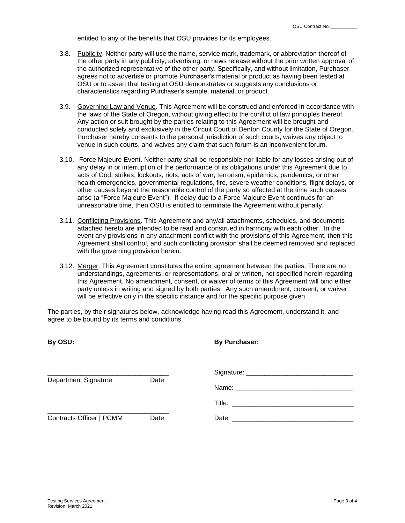entitled to any of the benefits that OSU provides for its employees.

- 3.8. Publicity. Neither party will use the name, service mark, trademark, or abbreviation thereof of the other party in any publicity, advertising, or news release without the prior written approval of the authorized representative of the other party. Specifically, and without limitation, Purchaser agrees not to advertise or promote Purchaser's material or product as having been tested at OSU or to assert that testing at OSU demonstrates or suggests any conclusions or characteristics regarding Purchaser's sample, material, or product.
- 3.9. Governing Law and Venue. This Agreement will be construed and enforced in accordance with the laws of the State of Oregon, without giving effect to the conflict of law principles thereof. Any action or suit brought by the parties relating to this Agreement will be brought and conducted solely and exclusively in the Circuit Court of Benton County for the State of Oregon. Purchaser hereby consents to the personal jurisdiction of such courts, waives any object to venue in such courts, and waives any claim that such forum is an inconvenient forum.
- 3.10. Force Majeure Event. Neither party shall be responsible nor liable for any losses arising out of any delay in or interruption of the performance of its obligations under this Agreement due to acts of God, strikes, lockouts, riots, acts of war, terrorism, epidemics, pandemics, or other health emergencies, governmental regulations, fire, severe weather conditions, flight delays, or other causes beyond the reasonable control of the party so affected at the time such causes arise (a "Force Majeure Event"). If delay due to a Force Majeure Event continues for an unreasonable time, then OSU is entitled to terminate the Agreement without penalty.
- 3.11. Conflicting Provisions. This Agreement and any/all attachments, schedules, and documents attached hereto are intended to be read and construed in harmony with each other. In the event any provisions in any attachment conflict with the provisions of this Agreement, then this Agreement shall control, and such conflicting provision shall be deemed removed and replaced with the governing provision herein.
- 3.12. Merger. This Agreement constitutes the entire agreement between the parties. There are no understandings, agreements, or representations, oral or written, not specified herein regarding this Agreement. No amendment, consent, or waiver of terms of this Agreement will bind either party unless in writing and signed by both parties. Any such amendment, consent, or waiver will be effective only in the specific instance and for the specific purpose given.

The parties, by their signatures below, acknowledge having read this Agreement, understand it, and agree to be bound by its terms and conditions.

| By OSU:                     |      | <b>By Purchaser:</b> |
|-----------------------------|------|----------------------|
| <b>Department Signature</b> | Date |                      |
| Contracts Officer   PCMM    | Date |                      |